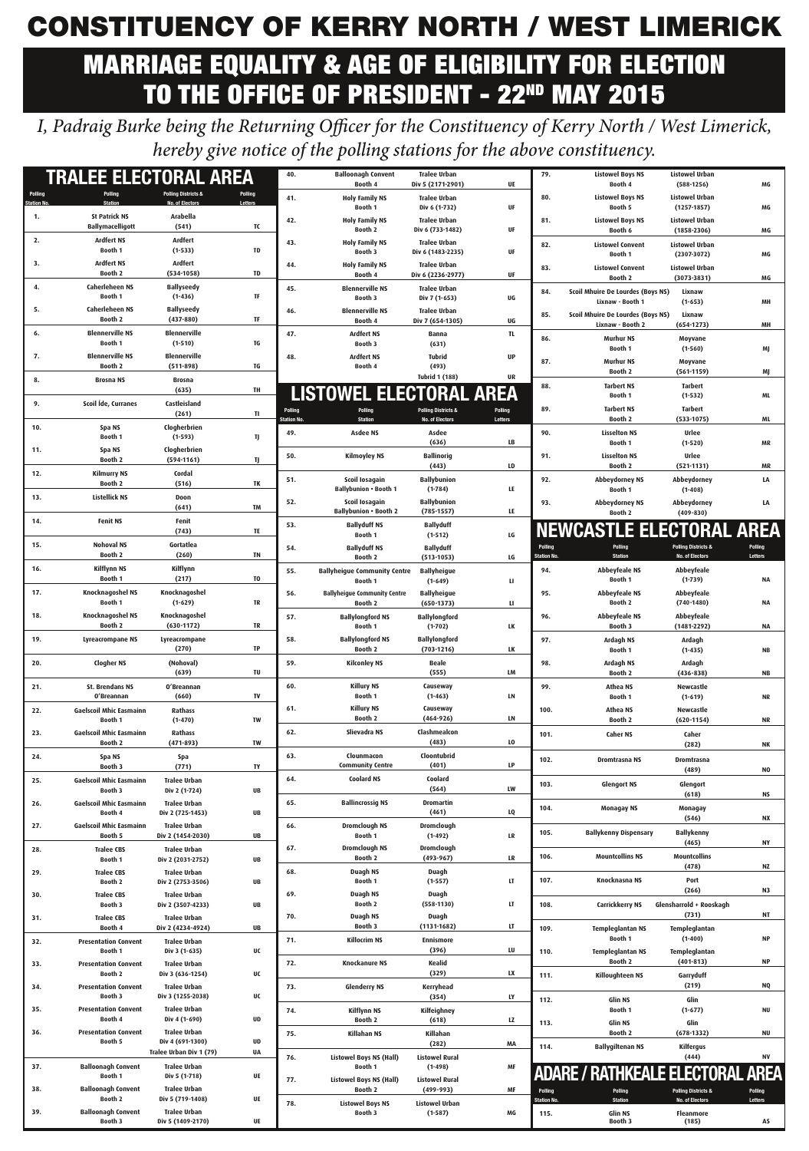|                                      | <b>TRALEE ELECTORAL AREA</b>                     |                                                          |                                  | 40.                                  | <b>Balloonagh Convent</b><br>Booth 4           | <b>Tralee Urban</b><br>Div 5 (2171-2901)                 | <b>UE</b>                 | 79.                                  | <b>Listowel Boys NS</b><br>Booth 4                           | <b>Listowel Urban</b><br>$(588-1256)$                    | MG                               |
|--------------------------------------|--------------------------------------------------|----------------------------------------------------------|----------------------------------|--------------------------------------|------------------------------------------------|----------------------------------------------------------|---------------------------|--------------------------------------|--------------------------------------------------------------|----------------------------------------------------------|----------------------------------|
| <b>Polling</b><br><b>Station No.</b> | <b>Polling</b><br><b>Station</b>                 | <b>Polling Districts &amp;</b><br><b>No. of Electors</b> | <b>Polling</b><br><b>Letters</b> | 41.                                  | <b>Holy Family NS</b><br>Booth 1               | <b>Tralee Urban</b><br>Div 6 (1-732)                     | UF                        | 80.                                  | <b>Listowel Boys NS</b><br><b>Booth 5</b>                    | <b>Listowel Urban</b><br>$(1257 - 1857)$                 | MG                               |
| 1.                                   | <b>St Patrick NS</b><br><b>Ballymacelligott</b>  | <b>Arabella</b><br>(541)                                 | <b>TC</b>                        | 42.                                  | <b>Holy Family NS</b><br>Booth 2               | <b>Tralee Urban</b><br>Div 6 (733-1482)                  | UF                        | 81.                                  | <b>Listowel Boys NS</b><br>Booth 6                           | <b>Listowel Urban</b><br>$(1858 - 2306)$                 | MG                               |
| 2.                                   | <b>Ardfert NS</b><br>Booth 1                     | <b>Ardfert</b><br>$(1-533)$                              | <b>TD</b>                        | 43.                                  | <b>Holy Family NS</b>                          | <b>Tralee Urban</b>                                      |                           | 82.                                  | <b>Listowel Convent</b>                                      | <b>Listowel Urban</b>                                    |                                  |
| 3.                                   | <b>Ardfert NS</b>                                | <b>Ardfert</b>                                           |                                  | 44.                                  | Booth 3<br><b>Holy Family NS</b>               | Div 6 (1483-2235)<br><b>Tralee Urban</b>                 | UF                        | 83.                                  | Booth 1<br><b>Listowel Convent</b>                           | $(2307 - 3072)$<br><b>Listowel Urban</b>                 | MG                               |
| 4.                                   | <b>Booth 2</b><br>Caherleheen NS                 | $(534 - 1058)$<br><b>Ballyseedy</b>                      | <b>TD</b>                        | 45.                                  | Booth 4<br><b>Blennerville NS</b>              | Div 6 (2236-2977)<br><b>Tralee Urban</b>                 | UF                        |                                      | <b>Booth 2</b>                                               | $(3073 - 3831)$                                          | MG                               |
|                                      | Booth 1                                          | $(1-436)$                                                | TF.                              |                                      | Booth 3                                        | Div 7 (1-653)                                            | UG                        | 84.                                  | <b>Scoil Mhuire De Lourdes (Boys NS)</b><br>Lixnaw - Booth 1 | Lixnaw<br>$(1-653)$                                      | <b>MH</b>                        |
| 5.                                   | Caherleheen NS<br><b>Booth 2</b>                 | <b>Ballyseedy</b><br>$(437 - 880)$                       | TF.                              | 46.                                  | <b>Blennerville NS</b><br>Booth 4              | <b>Tralee Urban</b><br>Div 7 (654-1305)                  | UG                        | 85.                                  | <b>Scoil Mhuire De Lourdes (Boys NS)</b><br>Lixnaw - Booth 2 | Lixnaw<br>$(654-1273)$                                   | <b>MH</b>                        |
| 6.                                   | <b>Blennerville NS</b><br>Booth 1                | <b>Blennerville</b><br>$(1-510)$                         | TG                               | 47.                                  | <b>Ardfert NS</b><br>Booth 3                   | Banna<br>(631)                                           | TL.                       | 86.                                  | <b>Murhur NS</b><br><b>Booth 1</b>                           | Moyvane<br>$(1-560)$                                     |                                  |
| 7.                                   | <b>Blennerville NS</b><br><b>Booth 2</b>         | <b>Blennerville</b><br>$(511-898)$                       | TG                               | 48.                                  | <b>Ardfert NS</b><br>Booth 4                   | <b>Tubrid</b><br>(493)                                   | <b>UP</b>                 | 87.                                  | <b>Murhur NS</b>                                             | Moyvane                                                  | MJ                               |
| 8.                                   | <b>Brosna NS</b>                                 | Brosna                                                   |                                  |                                      |                                                | <b>Tubrid 1 (188)</b>                                    | <b>UR</b>                 | 88.                                  | <b>Booth 2</b><br><b>Tarbert NS</b>                          | $(561-1159)$<br><b>Tarbert</b>                           | MJ                               |
| 9.                                   | Scoil Íde, Curranes                              | (635)<br>Castleisland                                    | <b>TH</b>                        |                                      | <b>LISTOWEL ELECTORAL AREA</b>                 |                                                          |                           |                                      | Booth 1                                                      | $(1-532)$                                                | <b>ML</b>                        |
|                                      |                                                  | (261)                                                    | $\mathbf{H}$                     | <b>Polling</b><br><b>Station No.</b> | <b>Polling</b><br><b>Station</b>               | <b>Polling Districts &amp;</b><br><b>No. of Electors</b> | <b>Polling</b><br>Letters | 89.                                  | <b>Tarbert NS</b><br>Booth 2                                 | <b>Tarbert</b><br>$(533-1075)$                           | <b>ML</b>                        |
| 10.                                  | Spa NS<br><b>Booth 1</b>                         | Clogherbrien<br>$(1-593)$                                | IJ                               | 49.                                  | <b>Asdee NS</b>                                | Asdee<br>(636)                                           | LB                        | 90.                                  | <b>Lisselton NS</b><br>Booth 1                               | <b>Urlee</b><br>$(1-520)$                                | <b>MR</b>                        |
| 11.                                  | Spa NS<br><b>Booth 2</b>                         | Clogherbrien<br>$(594 - 1161)$                           | IJ                               | 50.                                  | <b>Kilmoyley NS</b>                            | <b>Ballinorig</b><br>(443)                               |                           | 91.                                  | <b>Lisselton NS</b>                                          | <b>Urlee</b>                                             |                                  |
| 12.                                  | <b>Kilmurry NS</b><br>Booth 2                    | Cordal<br>(516)                                          | <b>TK</b>                        | 51.                                  | Scoil Iosagain                                 | <b>Ballybunion</b>                                       | LD                        | 92.                                  | Booth 2<br><b>Abbeydorney NS</b>                             | $(521-1131)$<br>Abbeydorney                              | <b>MR</b><br>LA                  |
| 13.                                  | <b>Listellick NS</b>                             | Doon                                                     |                                  | 52.                                  | <b>Ballybunion . Booth 1</b><br>Scoil Iosagain | $(1-784)$<br>Ballybunion                                 | LE                        | 93.                                  | <b>Booth 1</b><br><b>Abbeydorney NS</b>                      | $(1-408)$<br>Abbeydorney                                 | LA                               |
| 14.                                  | <b>Fenit NS</b>                                  | (641)<br>Fenit                                           | <b>TM</b>                        |                                      | <b>Ballybunion . Booth 2</b>                   | $(785 - 1557)$                                           | LE                        |                                      | Booth 2                                                      | $(409 - 830)$                                            |                                  |
|                                      |                                                  | (743)                                                    | TE.                              | 53.                                  | <b>Ballyduff NS</b><br>Booth 1                 | <b>Ballyduff</b><br>$(1-512)$                            | LG                        |                                      | <b>NEWCASTLE ELECTORAL AREA</b>                              |                                                          |                                  |
| 15.                                  | <b>Nohoval NS</b><br><b>Booth 2</b>              | Gortatlea<br>(260)                                       | <b>TN</b>                        | 54.                                  | <b>Ballyduff NS</b><br><b>Booth 2</b>          | <b>Ballyduff</b><br>$(513 - 1053)$                       | LG                        | <b>Polling</b><br>Station No.        | <b>Polling</b><br><b>Station</b>                             | <b>Polling Districts &amp;</b><br><b>No. of Electors</b> | <b>Polling</b><br>Letters        |
| 16.                                  | <b>Kilflynn NS</b><br>Booth 1                    | <b>Kilflynn</b><br>(217)                                 | T <sub>0</sub>                   | 55.                                  | <b>Ballyheigue Community Centre</b><br>Booth 1 | <b>Ballyheigue</b><br>$(1-649)$                          | IJ,                       | 94.                                  | <b>Abbeyfeale NS</b><br>Booth 1                              | Abbeyfeale<br>$(1-739)$                                  | <b>NA</b>                        |
| 17.                                  | <b>Knocknagoshel NS</b>                          | Knocknagoshel                                            |                                  | 56.                                  | <b>Ballyheigue Community Centre</b>            | <b>Ballyheigue</b>                                       |                           | 95.                                  | <b>Abbeyfeale NS</b>                                         | Abbeyfeale                                               |                                  |
| 18.                                  | Booth 1<br><b>Knocknagoshel NS</b>               | $(1-629)$<br>Knocknagoshel                               | <b>TR</b>                        | 57.                                  | <b>Booth 2</b><br><b>Ballylongford NS</b>      | $(650 - 1373)$<br><b>Ballylongford</b>                   | LL.                       | 96.                                  | Booth 2<br><b>Abbeyfeale NS</b>                              | $(740 - 1480)$<br>Abbeyfeale                             | <b>NA</b>                        |
| 19.                                  | <b>Booth 2</b><br>Lyreacrompane NS               | $(630-1172)$<br>Lyreacrompane                            | <b>TR</b>                        | 58.                                  | Booth 1<br><b>Ballylongford NS</b>             | $(1-702)$<br><b>Ballylongford</b>                        | <b>LK</b>                 |                                      | Booth 3                                                      | $(1481 - 2292)$                                          | <b>NA</b>                        |
|                                      |                                                  | (270)                                                    | <b>TP</b>                        |                                      | Booth 2                                        | $(703-1216)$                                             | <b>LK</b>                 | 97.                                  | Ardagh NS<br><b>Booth 1</b>                                  | Ardagh<br>$(1-435)$                                      | <b>NB</b>                        |
| 20.                                  | <b>Clogher NS</b>                                | (Nohoval)<br>(639)                                       | TU                               | 59.                                  | <b>Kilconley NS</b>                            | <b>Beale</b><br>(555)                                    | <b>LM</b>                 | 98.                                  | Ardagh NS<br>Booth 2                                         | Ardagh<br>$(436 - 838)$                                  | <b>NB</b>                        |
| 21.                                  | St. Brendans NS<br>O'Breannan                    | O'Breannan<br>(660)                                      | <b>TV</b>                        | 60.                                  | <b>Killury NS</b><br>Booth 1                   | Causeway<br>$(1-463)$                                    | <b>LN</b>                 | 99.                                  | <b>Athea NS</b><br>Booth 1                                   | <b>Newcastle</b><br>$(1-619)$                            | <b>NR</b>                        |
| 22.                                  | <b>Gaelscoil Mhic Easmainn</b><br>Booth 1        | Rathass<br>$(1-470)$                                     | <b>TW</b>                        | 61.                                  | <b>Killury NS</b><br>Booth 2                   | Causeway<br>$(464 - 926)$                                | <b>LN</b>                 | 100.                                 | <b>Athea NS</b><br><b>Booth 2</b>                            | <b>Newcastle</b><br>$(620 - 1154)$                       | <b>NR</b>                        |
| 23.                                  | <b>Gaelscoil Mhic Easmainn</b><br><b>Booth 2</b> | Rathass<br>$(471 - 893)$                                 | <b>TW</b>                        | 62.                                  | Slievadra NS                                   | Clashmealcon<br>(483)                                    | LO                        | 101.                                 | <b>Caher NS</b>                                              | Caher                                                    |                                  |
| 24.                                  | Spa NS                                           | Spa                                                      |                                  | 63.                                  | Clounmacon                                     | Cloontubrid                                              |                           | 102.                                 | Dromtrasna NS                                                | (282)<br><b>Dromtrasna</b>                               | <b>NK</b>                        |
| 25.                                  | <b>Booth 3</b><br><b>Gaelscoil Mhic Easmainn</b> | (771)<br><b>Tralee Urban</b>                             | <b>TY</b>                        | 64.                                  | <b>Community Centre</b><br><b>Coolard NS</b>   | (401)<br>Coolard                                         | <b>LP</b>                 | 103.                                 | <b>Glengort NS</b>                                           | (489)<br>Glengort                                        | <b>NO</b>                        |
| 26.                                  | Booth 3<br><b>Gaelscoil Mhic Easmainn</b>        | Div 2 (1-724)<br><b>Tralee Urban</b>                     | UB                               | 65.                                  | <b>Ballincrossig NS</b>                        | (564)<br><b>Dromartin</b>                                | <b>LW</b>                 |                                      |                                                              | (618)                                                    | <b>NS</b>                        |
| 27.                                  | Booth 4<br><b>Gaelscoil Mhic Easmainn</b>        | Div 2 (725-1453)<br><b>Tralee Urban</b>                  | UB                               | 66.                                  | <b>Dromclough NS</b>                           | (461)<br><b>Dromclough</b>                               | LQ                        | 104.                                 | <b>Monagay NS</b>                                            | Monagay<br>(546)                                         | <b>NX</b>                        |
|                                      | <b>Booth 5</b>                                   | Div 2 (1454-2030)                                        | <b>UB</b>                        |                                      | Booth 1                                        | $(1-492)$                                                | LR                        | 105.                                 | <b>Ballykenny Dispensary</b>                                 | <b>Ballykenny</b><br>(465)                               | <b>NY</b>                        |
| 28.                                  | <b>Tralee CBS</b><br>Booth 1                     | <b>Tralee Urban</b><br>Div 2 (2031-2752)                 | UB                               | 67.                                  | <b>Dromclough NS</b><br>Booth 2                | <b>Dromclough</b><br>$(493 - 967)$                       | <b>LR</b>                 | 106.                                 | <b>Mountcollins NS</b>                                       | <b>Mountcollins</b><br>(478)                             | <b>NZ</b>                        |
| 29.                                  | <b>Tralee CBS</b><br>Booth 2                     | <b>Tralee Urban</b><br>Div 2 (2753-3506)                 | <b>UB</b>                        | 68.                                  | Duagh NS<br>Booth 1                            | Duagh<br>$(1-557)$                                       | LT                        | 107.                                 | Knocknasna NS                                                | Port                                                     |                                  |
| 30.                                  | <b>Tralee CBS</b><br>Booth 3                     | <b>Tralee Urban</b><br>Div 2 (3507-4233)                 | <b>UB</b>                        | 69.                                  | Duagh NS<br>Booth 2                            | Duagh<br>$(558-1130)$                                    | LT.                       | 108.                                 | Carrickkerry NS                                              | (266)<br>Glensharrold + Rooskagh                         | N3                               |
| 31.                                  | <b>Tralee CBS</b>                                | <b>Tralee Urban</b>                                      |                                  | 70.                                  | Duagh NS<br>Booth 3                            | Duagh<br>$(1131-1682)$                                   | LT.                       |                                      |                                                              | (731)                                                    | <b>NT</b>                        |
| 32.                                  | Booth 4<br><b>Presentation Convent</b>           | Div 2 (4234-4924)<br><b>Tralee Urban</b>                 | <b>UB</b>                        | 71.                                  | <b>Killocrim NS</b>                            | <b>Ennismore</b>                                         |                           | 109.                                 | <b>Templeglantan NS</b><br>Booth 1                           | <b>Templeglantan</b><br>$(1-400)$                        | <b>NP</b>                        |
| 33.                                  | <b>Booth 1</b><br><b>Presentation Convent</b>    | Div 3 (1-635)<br><b>Tralee Urban</b>                     | UC                               | 72.                                  | <b>Knockanure NS</b>                           | (396)<br><b>Kealid</b>                                   | LU                        | 110.                                 | <b>Templeglantan NS</b><br><b>Booth 2</b>                    | <b>Templeglantan</b><br>$(401 - 813)$                    | <b>NP</b>                        |
| 34.                                  | Booth 2<br><b>Presentation Convent</b>           | Div 3 (636-1254)<br><b>Tralee Urban</b>                  | UC                               | 73.                                  | <b>Glenderry NS</b>                            | (329)<br>Kerryhead                                       | <b>LX</b>                 | 111.                                 | <b>Killoughteen NS</b>                                       | Garryduff<br>(219)                                       | <b>NQ</b>                        |
|                                      | Booth 3                                          | Div 3 (1255-2038)                                        | UC                               |                                      |                                                | (354)                                                    | <b>LY</b>                 | 112.                                 | Glin NS                                                      | Glin                                                     |                                  |
| 35.                                  | <b>Presentation Convent</b><br>Booth 4           | <b>Tralee Urban</b><br>Div 4 (1-690)                     | UD                               | 74.                                  | <b>Kilflynn NS</b><br>Booth 2                  | <b>Kilfeighney</b><br>(618)                              | <b>LZ</b>                 | 113.                                 | Booth 1<br>Glin NS                                           | $(1-677)$<br>Glin                                        | <b>NU</b>                        |
| 36.                                  | <b>Presentation Convent</b><br>Booth 5           | <b>Tralee Urban</b><br>Div 4 (691-1300)                  | <b>UD</b>                        | 75.                                  | Killahan NS                                    | Killahan<br>(282)                                        | <b>MA</b>                 | 114.                                 | Booth 2                                                      | $(678-1332)$                                             | <b>NU</b>                        |
| 37.                                  |                                                  | Tralee Urban Div 1 (79)<br><b>Tralee Urban</b>           | <b>UA</b>                        | 76.                                  | <b>Listowel Boys NS (Hall)</b>                 | <b>Listowel Rural</b>                                    |                           |                                      | <b>Ballygiltenan NS</b>                                      | <b>Kilfergus</b><br>(444)                                | <b>NV</b>                        |
|                                      | <b>Balloonagh Convent</b><br><b>Booth 1</b>      | Div 5 (1-718)                                            | UE                               | 77.                                  | Booth 1<br><b>Listowel Boys NS (Hall)</b>      | $(1-498)$<br><b>Listowel Rural</b>                       | <b>MF</b>                 |                                      | <b>ADARE / RATHKEALE ELECTORAL</b>                           |                                                          | <b>AREA</b>                      |
| 38.                                  | <b>Balloonagh Convent</b><br>Booth 2             | <b>Tralee Urban</b><br>Div 5 (719-1408)                  | UE                               | 78.                                  | <b>Booth 2</b><br><b>Listowel Boys NS</b>      | $(499-993)$<br><b>Listowel Urban</b>                     | <b>MF</b>                 | <b>Polling</b><br><b>Station No.</b> | <b>Polling</b><br><b>Station</b>                             | <b>Polling Districts &amp;</b><br><b>No. of Electors</b> | <b>Polling</b><br><b>Letters</b> |
| 39.                                  | <b>Balloonagh Convent</b><br>Booth 3             | <b>Tralee Urban</b><br>Div 5 (1409-2170)                 | <b>UE</b>                        |                                      | Booth 3                                        | $(1-587)$                                                | MG                        | 115.                                 | Glin NS<br><b>Booth 3</b>                                    | <b>Fleanmore</b><br>(185)                                | <b>AS</b>                        |

## MARRIAGE EQUALITY & AGE OF ELIGIBILITY FOR ELECTION TO THE OFFICE OF PRESIDENT - 22<sup>ND</sup> MAY 2015

## CONSTITUENCY OF KERRY NORTH / WEST LIMERICK

*I, Padraig Burke being the Returning Officer for the Constituency of Kerry North / West Limerick, hereby give notice of the polling stations for the above constituency.*